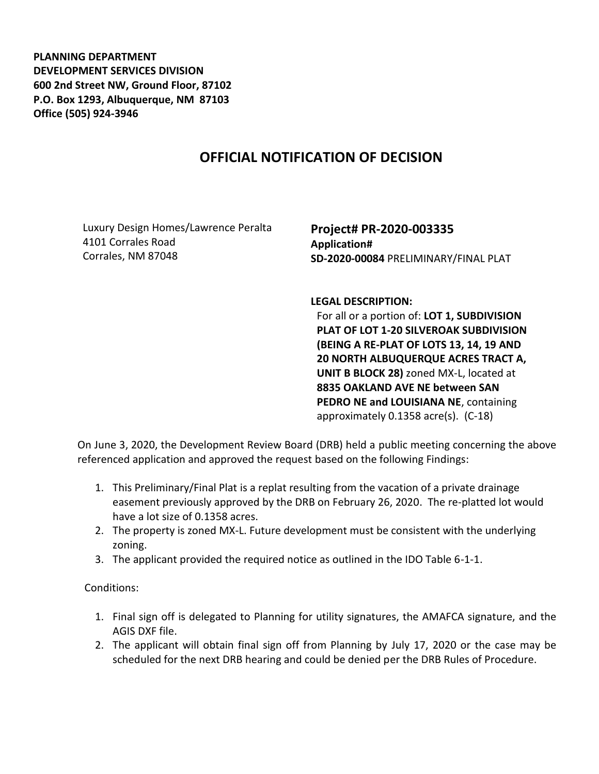**PLANNING DEPARTMENT DEVELOPMENT SERVICES DIVISION 600 2nd Street NW, Ground Floor, 87102 P.O. Box 1293, Albuquerque, NM 87103 Office (505) 924-3946** 

## **OFFICIAL NOTIFICATION OF DECISION**

Luxury Design Homes/Lawrence Peralta 4101 Corrales Road Corrales, NM 87048

**Project# PR-2020-003335 Application# SD-2020-00084** PRELIMINARY/FINAL PLAT

**LEGAL DESCRIPTION:**

For all or a portion of: **LOT 1, SUBDIVISION PLAT OF LOT 1-20 SILVEROAK SUBDIVISION (BEING A RE-PLAT OF LOTS 13, 14, 19 AND 20 NORTH ALBUQUERQUE ACRES TRACT A, UNIT B BLOCK 28)** zoned MX-L, located at **8835 OAKLAND AVE NE between SAN PEDRO NE and LOUISIANA NE**, containing approximately 0.1358 acre(s). (C-18)

On June 3, 2020, the Development Review Board (DRB) held a public meeting concerning the above referenced application and approved the request based on the following Findings:

- 1. This Preliminary/Final Plat is a replat resulting from the vacation of a private drainage easement previously approved by the DRB on February 26, 2020. The re-platted lot would have a lot size of 0.1358 acres.
- 2. The property is zoned MX-L. Future development must be consistent with the underlying zoning.
- 3. The applicant provided the required notice as outlined in the IDO Table 6-1-1.

Conditions:

- 1. Final sign off is delegated to Planning for utility signatures, the AMAFCA signature, and the AGIS DXF file.
- 2. The applicant will obtain final sign off from Planning by July 17, 2020 or the case may be scheduled for the next DRB hearing and could be denied per the DRB Rules of Procedure.